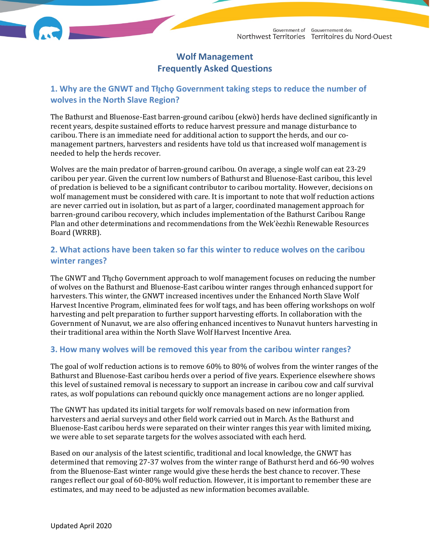# **Wolf Management Frequently Asked Questions**

### 1. Why are the GNWT and Thcho Government taking steps to reduce the number of **wolves in the North Slave Region?**

The Bathurst and Bluenose-East barren-ground caribou (ekwò) herds have declined significantly in recent years, despite sustained efforts to reduce harvest pressure and manage disturbance to caribou. There is an immediate need for additional action to support the herds, and our comanagement partners, harvesters and residents have told us that increased wolf management is needed to help the herds recover.

Wolves are the main predator of barren-ground caribou. On average, a single wolf can eat 23-29 caribou per year. Given the current low numbers of Bathurst and Bluenose-East caribou, this level of predation is believed to be a significant contributor to caribou mortality. However, decisions on wolf management must be considered with care. It is important to note that wolf reduction actions are never carried out in isolation, but as part of a larger, coordinated management approach for barren-ground caribou recovery, which includes implementation of the Bathurst Caribou Range Plan and other determinations and recommendations from the Wek'èezhìı Renewable Resources Board (WRRB).

### **2. What actions have been taken so far this winter to reduce wolves on the caribou winter ranges?**

The GNWT and Thcho Government approach to wolf management focuses on reducing the number of wolves on the Bathurst and Bluenose-East caribou winter ranges through enhanced support for harvesters. This winter, the GNWT increased incentives under the Enhanced North Slave Wolf Harvest Incentive Program, eliminated fees for wolf tags, and has been offering workshops on wolf harvesting and pelt preparation to further support harvesting efforts. In collaboration with the Government of Nunavut, we are also offering enhanced incentives to Nunavut hunters harvesting in their traditional area within the North Slave Wolf Harvest Incentive Area.

### **3. How many wolves will be removed this year from the caribou winter ranges?**

The goal of wolf reduction actions is to remove 60% to 80% of wolves from the winter ranges of the Bathurst and Bluenose-East caribou herds over a period of five years. Experience elsewhere shows this level of sustained removal is necessary to support an increase in caribou cow and calf survival rates, as wolf populations can rebound quickly once management actions are no longer applied.

The GNWT has updated its initial targets for wolf removals based on new information from harvesters and aerial surveys and other field work carried out in March. As the Bathurst and Bluenose-East caribou herds were separated on their winter ranges this year with limited mixing, we were able to set separate targets for the wolves associated with each herd.

Based on our analysis of the latest scientific, traditional and local knowledge, the GNWT has determined that removing 27-37 wolves from the winter range of Bathurst herd and 66-90 wolves from the Bluenose-East winter range would give these herds the best chance to recover. These ranges reflect our goal of 60-80% wolf reduction. However, it is important to remember these are estimates, and may need to be adjusted as new information becomes available.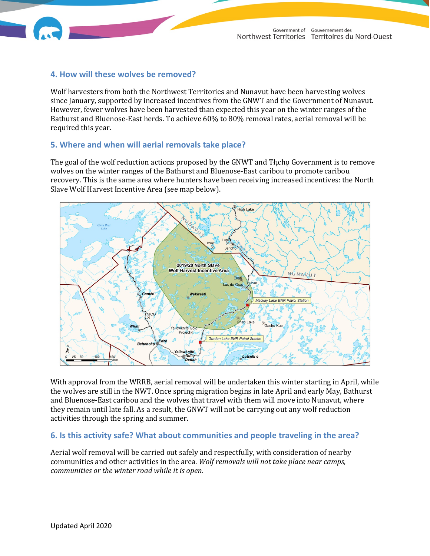

#### **4. How will these wolves be removed?**

Wolf harvesters from both the Northwest Territories and Nunavut have been harvesting wolves since January, supported by increased incentives from the GNWT and the Government of Nunavut. However, fewer wolves have been harvested than expected this year on the winter ranges of the Bathurst and Bluenose-East herds. To achieve 60% to 80% removal rates, aerial removal will be required this year.

#### **5. Where and when will aerial removals take place?**

The goal of the wolf reduction actions proposed by the GNWT and Tłįchǫ Government is to remove wolves on the winter ranges of the Bathurst and Bluenose-East caribou to promote caribou recovery. This is the same area where hunters have been receiving increased incentives: the North Slave Wolf Harvest Incentive Area (see map below).



With approval from the WRRB, aerial removal will be undertaken this winter starting in April, while the wolves are still in the NWT. Once spring migration begins in late April and early May, Bathurst and Bluenose-East caribou and the wolves that travel with them will move into Nunavut, where they remain until late fall. As a result, the GNWT will not be carrying out any wolf reduction activities through the spring and summer.

#### **6. Is this activity safe? What about communities and people traveling in the area?**

Aerial wolf removal will be carried out safely and respectfully, with consideration of nearby communities and other activities in the area. *Wolf removals will not take place near camps, communities or the winter road while it is open.*